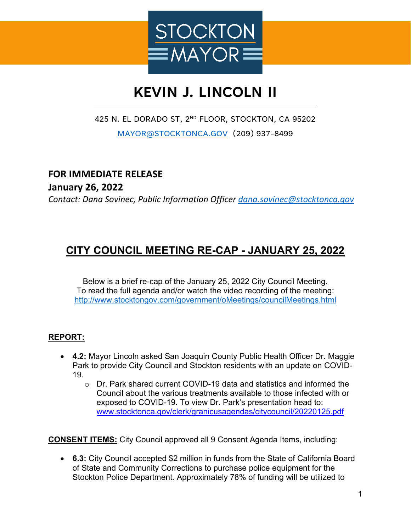

# **KEVIN J. LINCOLN II**

#### 425 N. EL DORADO ST, 2ND FLOOR, STOCKTON, CA 95202

[MAYOR@STOCKTONCA.GOV](mailto:MAYOR@STOCKTONCA.GOV) (209) 937-8499

### **FOR IMMEDIATE RELEASE**

**January 26, 2022**

*Contact: Dana Sovinec, Public Information Officer [dana.sovinec@stocktonca.gov](mailto:dana.sovinec@stocktonca.gov)*

## **CITY COUNCIL MEETING RE-CAP - JANUARY 25, 2022**

Below is a brief re-cap of the January 25, 2022 City Council Meeting. To read the full agenda and/or watch the video recording of the meeting: <http://www.stocktongov.com/government/oMeetings/councilMeetings.html>

#### **REPORT:**

- **4.2:** Mayor Lincoln asked San Joaquin County Public Health Officer Dr. Maggie Park to provide City Council and Stockton residents with an update on COVID-19.
	- $\circ$  Dr. Park shared current COVID-19 data and statistics and informed the Council about the various treatments available to those infected with or exposed to COVID-19. To view Dr. Park's presentation head to: [www.stocktonca.gov/clerk/granicusagendas/citycouncil/20220125.pdf](http://www.stocktonca.gov/clerk/granicusagendas/citycouncil/20220125.pdf)

**CONSENT ITEMS:** City Council approved all 9 Consent Agenda Items, including:

• **6.3:** City Council accepted \$2 million in funds from the State of California Board of State and Community Corrections to purchase police equipment for the Stockton Police Department. Approximately 78% of funding will be utilized to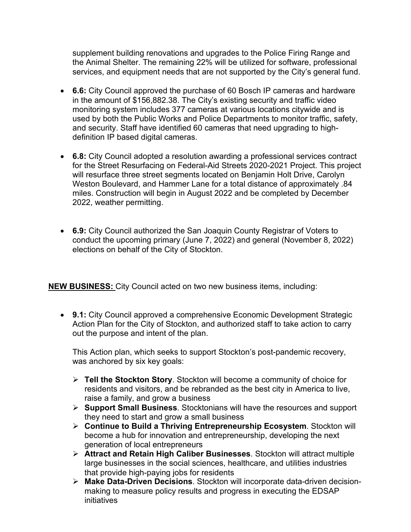supplement building renovations and upgrades to the Police Firing Range and the Animal Shelter. The remaining 22% will be utilized for software, professional services, and equipment needs that are not supported by the City's general fund.

- **6.6:** City Council approved the purchase of 60 Bosch IP cameras and hardware in the amount of \$156,882.38. The City's existing security and traffic video monitoring system includes 377 cameras at various locations citywide and is used by both the Public Works and Police Departments to monitor traffic, safety, and security. Staff have identified 60 cameras that need upgrading to highdefinition IP based digital cameras.
- **6.8:** City Council adopted a resolution awarding a professional services contract for the Street Resurfacing on Federal-Aid Streets 2020-2021 Project. This project will resurface three street segments located on Benjamin Holt Drive, Carolyn Weston Boulevard, and Hammer Lane for a total distance of approximately .84 miles. Construction will begin in August 2022 and be completed by December 2022, weather permitting.
- **6.9:** City Council authorized the San Joaquin County Registrar of Voters to conduct the upcoming primary (June 7, 2022) and general (November 8, 2022) elections on behalf of the City of Stockton.

**NEW BUSINESS:** City Council acted on two new business items, including:

• **9.1:** City Council approved a comprehensive Economic Development Strategic Action Plan for the City of Stockton, and authorized staff to take action to carry out the purpose and intent of the plan.

This Action plan, which seeks to support Stockton's post-pandemic recovery, was anchored by six key goals:

- **Tell the Stockton Story**. Stockton will become a community of choice for residents and visitors, and be rebranded as the best city in America to live, raise a family, and grow a business
- **Support Small Business**. Stocktonians will have the resources and support they need to start and grow a small business
- **Continue to Build a Thriving Entrepreneurship Ecosystem**. Stockton will become a hub for innovation and entrepreneurship, developing the next generation of local entrepreneurs
- **Attract and Retain High Caliber Businesses**. Stockton will attract multiple large businesses in the social sciences, healthcare, and utilities industries that provide high-paying jobs for residents
- **Make Data-Driven Decisions**. Stockton will incorporate data-driven decisionmaking to measure policy results and progress in executing the EDSAP initiatives